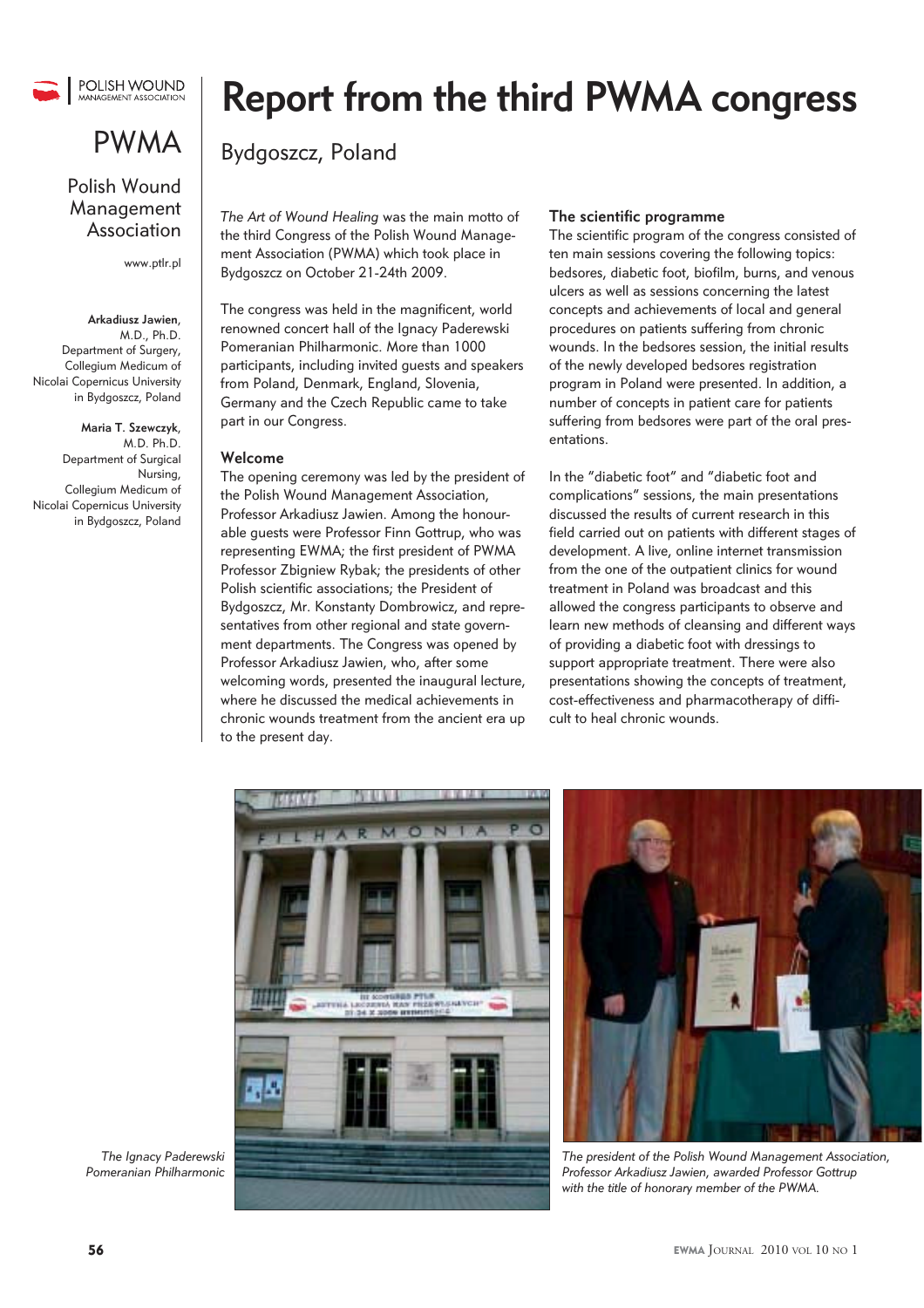

## PWMA

### Polish Wound Management Association

www.ptlr.pl

### **Arkadiusz Jawien**,

 M.D., Ph.D. Department of Surgery, Collegium Medicum of Nicolai Copernicus University in Bydgoszcz, Poland

**Maria T. Szewczyk**, M.D. Ph.D. Department of Surgical Nursing, Collegium Medicum of Nicolai Copernicus University in Bydgoszcz, Poland

# **Report from the third PWMA congress**

### Bydgoszcz, Poland

*The Art of Wound Healing* was the main motto of the third Congress of the Polish Wound Management Association (PWMA) which took place in Bydgoszcz on October 21-24th 2009.

The congress was held in the magnificent, world renowned concert hall of the Ignacy Paderewski Pomeranian Philharmonic. More than 1000 participants, including invited guests and speakers from Poland, Denmark, England, Slovenia, Germany and the Czech Republic came to take part in our Congress.

### **Welcome**

The opening ceremony was led by the president of the Polish Wound Management Association, Professor Arkadiusz Jawien. Among the honourable guests were Professor Finn Gottrup, who was representing EWMA; the first president of PWMA Professor Zbigniew Rybak; the presidents of other Polish scientific associations; the President of Bydgoszcz, Mr. Konstanty Dombrowicz, and representatives from other regional and state government departments. The Congress was opened by Professor Arkadiusz Jawien, who, after some welcoming words, presented the inaugural lecture, where he discussed the medical achievements in chronic wounds treatment from the ancient era up to the present day.

#### **The scientific programme**

The scientific program of the congress consisted of ten main sessions covering the following topics: bedsores, diabetic foot, biofilm, burns, and venous ulcers as well as sessions concerning the latest concepts and achievements of local and general procedures on patients suffering from chronic wounds. In the bedsores session, the initial results of the newly developed bedsores registration program in Poland were presented. In addition, a number of concepts in patient care for patients suffering from bedsores were part of the oral presentations.

In the "diabetic foot" and "diabetic foot and complications" sessions, the main presentations discussed the results of current research in this field carried out on patients with different stages of development. A live, online internet transmission from the one of the outpatient clinics for wound treatment in Poland was broadcast and this allowed the congress participants to observe and learn new methods of cleansing and different ways of providing a diabetic foot with dressings to support appropriate treatment. There were also presentations showing the concepts of treatment, cost-effectiveness and pharmacotherapy of difficult to heal chronic wounds.



*The president of the Polish Wound Management Association, Professor Arkadiusz Jawien, awarded Professor Gottrup with the title of honorary member of the PWMA.*

*The Ignacy Paderewski Pomeranian Philharmonic*